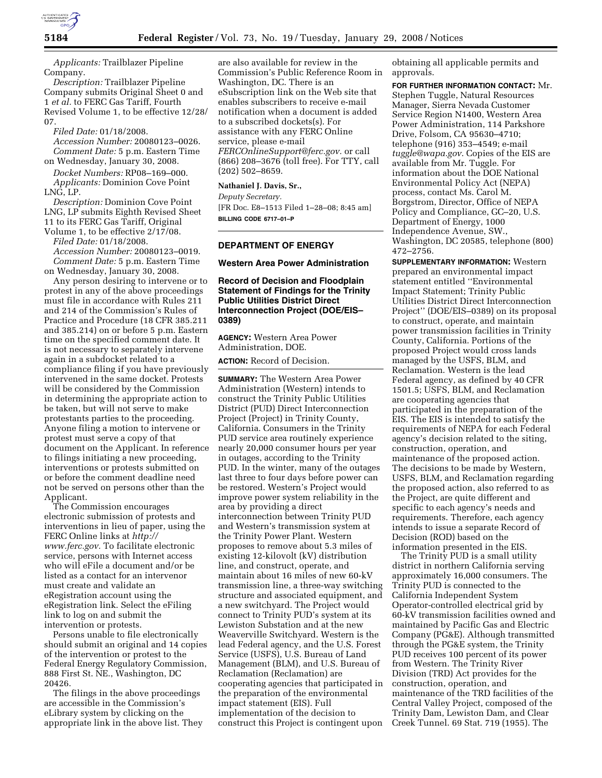

*Applicants:* Trailblazer Pipeline Company.

*Description:* Trailblazer Pipeline Company submits Original Sheet 0 and 1 *et al.* to FERC Gas Tariff, Fourth Revised Volume 1, to be effective 12/28/ 07.

*Filed Date:* 01/18/2008.

*Accession Number:* 20080123–0026. *Comment Date:* 5 p.m. Eastern Time on Wednesday, January 30, 2008.

*Docket Numbers:* RP08–169–000. *Applicants:* Dominion Cove Point LNG, LP.

*Description:* Dominion Cove Point LNG, LP submits Eighth Revised Sheet 11 to its FERC Gas Tariff, Original

Volume 1, to be effective 2/17/08.

*Filed Date:* 01/18/2008. *Accession Number:* 20080123–0019.

*Comment Date:* 5 p.m. Eastern Time on Wednesday, January 30, 2008.

Any person desiring to intervene or to protest in any of the above proceedings must file in accordance with Rules 211 and 214 of the Commission's Rules of Practice and Procedure (18 CFR 385.211 and 385.214) on or before 5 p.m. Eastern time on the specified comment date. It is not necessary to separately intervene again in a subdocket related to a compliance filing if you have previously intervened in the same docket. Protests will be considered by the Commission in determining the appropriate action to be taken, but will not serve to make protestants parties to the proceeding. Anyone filing a motion to intervene or protest must serve a copy of that document on the Applicant. In reference to filings initiating a new proceeding, interventions or protests submitted on or before the comment deadline need not be served on persons other than the Applicant.

The Commission encourages electronic submission of protests and interventions in lieu of paper, using the FERC Online links at *http:// www.ferc.gov.* To facilitate electronic service, persons with Internet access who will eFile a document and/or be listed as a contact for an intervenor must create and validate an eRegistration account using the eRegistration link. Select the eFiling link to log on and submit the intervention or protests.

Persons unable to file electronically should submit an original and 14 copies of the intervention or protest to the Federal Energy Regulatory Commission, 888 First St. NE., Washington, DC 20426.

The filings in the above proceedings are accessible in the Commission's eLibrary system by clicking on the appropriate link in the above list. They

are also available for review in the Commission's Public Reference Room in Washington, DC. There is an eSubscription link on the Web site that enables subscribers to receive e-mail notification when a document is added to a subscribed dockets(s). For assistance with any FERC Online service, please e-mail *FERCOnlineSupport@ferc.gov.* or call (866) 208–3676 (toll free). For TTY, call (202) 502–8659.

#### **Nathaniel J. Davis, Sr.,**

*Deputy Secretary.*  [FR Doc. E8–1513 Filed 1–28–08; 8:45 am] **BILLING CODE 6717–01–P** 

# **DEPARTMENT OF ENERGY**

#### **Western Area Power Administration**

# **Record of Decision and Floodplain Statement of Findings for the Trinity Public Utilities District Direct Interconnection Project (DOE/EIS– 0389)**

**AGENCY:** Western Area Power Administration, DOE.

**ACTION:** Record of Decision.

**SUMMARY:** The Western Area Power Administration (Western) intends to construct the Trinity Public Utilities District (PUD) Direct Interconnection Project (Project) in Trinity County, California. Consumers in the Trinity PUD service area routinely experience nearly 20,000 consumer hours per year in outages, according to the Trinity PUD. In the winter, many of the outages last three to four days before power can be restored. Western's Project would improve power system reliability in the area by providing a direct interconnection between Trinity PUD and Western's transmission system at the Trinity Power Plant. Western proposes to remove about 5.3 miles of existing 12-kilovolt (kV) distribution line, and construct, operate, and maintain about 16 miles of new 60-kV transmission line, a three-way switching structure and associated equipment, and a new switchyard. The Project would connect to Trinity PUD's system at its Lewiston Substation and at the new Weaverville Switchyard. Western is the lead Federal agency, and the U.S. Forest Service (USFS), U.S. Bureau of Land Management (BLM), and U.S. Bureau of Reclamation (Reclamation) are cooperating agencies that participated in the preparation of the environmental impact statement (EIS). Full implementation of the decision to construct this Project is contingent upon

obtaining all applicable permits and approvals.

**FOR FURTHER INFORMATION CONTACT:** Mr. Stephen Tuggle, Natural Resources Manager, Sierra Nevada Customer Service Region N1400, Western Area Power Administration, 114 Parkshore Drive, Folsom, CA 95630–4710; telephone (916) 353–4549; e-mail *tuggle@wapa.gov*. Copies of the EIS are available from Mr. Tuggle. For information about the DOE National Environmental Policy Act (NEPA) process, contact Ms. Carol M. Borgstrom, Director, Office of NEPA Policy and Compliance, GC–20, U.S. Department of Energy, 1000 Independence Avenue, SW., Washington, DC 20585, telephone (800) 472–2756.

**SUPPLEMENTARY INFORMATION:** Western prepared an environmental impact statement entitled ''Environmental Impact Statement; Trinity Public Utilities District Direct Interconnection Project'' (DOE/EIS–0389) on its proposal to construct, operate, and maintain power transmission facilities in Trinity County, California. Portions of the proposed Project would cross lands managed by the USFS, BLM, and Reclamation. Western is the lead Federal agency, as defined by 40 CFR 1501.5; USFS, BLM, and Reclamation are cooperating agencies that participated in the preparation of the EIS. The EIS is intended to satisfy the requirements of NEPA for each Federal agency's decision related to the siting, construction, operation, and maintenance of the proposed action. The decisions to be made by Western, USFS, BLM, and Reclamation regarding the proposed action, also referred to as the Project, are quite different and specific to each agency's needs and requirements. Therefore, each agency intends to issue a separate Record of Decision (ROD) based on the information presented in the EIS.

The Trinity PUD is a small utility district in northern California serving approximately 16,000 consumers. The Trinity PUD is connected to the California Independent System Operator-controlled electrical grid by 60-kV transmission facilities owned and maintained by Pacific Gas and Electric Company (PG&E). Although transmitted through the PG&E system, the Trinity PUD receives 100 percent of its power from Western. The Trinity River Division (TRD) Act provides for the construction, operation, and maintenance of the TRD facilities of the Central Valley Project, composed of the Trinity Dam, Lewiston Dam, and Clear Creek Tunnel. 69 Stat. 719 (1955). The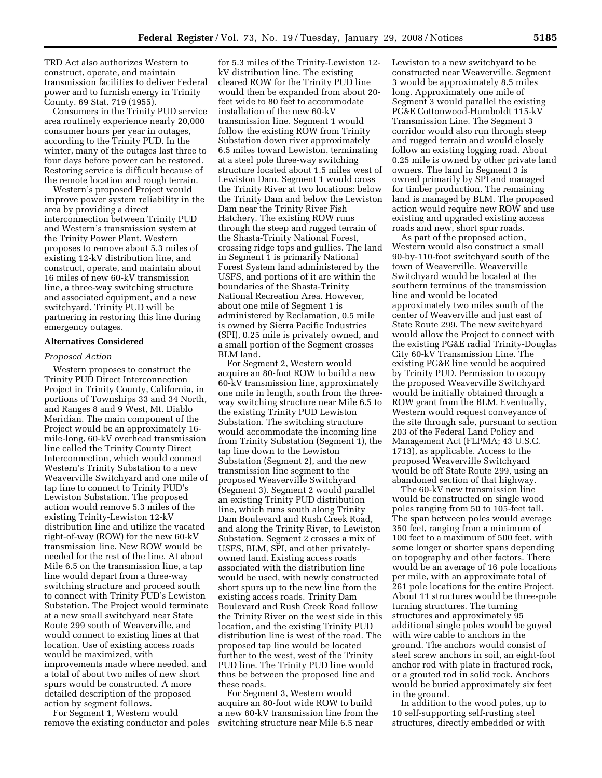TRD Act also authorizes Western to construct, operate, and maintain transmission facilities to deliver Federal power and to furnish energy in Trinity County. 69 Stat. 719 (1955).

Consumers in the Trinity PUD service area routinely experience nearly 20,000 consumer hours per year in outages, according to the Trinity PUD. In the winter, many of the outages last three to four days before power can be restored. Restoring service is difficult because of the remote location and rough terrain.

Western's proposed Project would improve power system reliability in the area by providing a direct interconnection between Trinity PUD and Western's transmission system at the Trinity Power Plant. Western proposes to remove about 5.3 miles of existing 12-kV distribution line, and construct, operate, and maintain about 16 miles of new 60-kV transmission line, a three-way switching structure and associated equipment, and a new switchyard. Trinity PUD will be partnering in restoring this line during emergency outages.

### **Alternatives Considered**

#### *Proposed Action*

Western proposes to construct the Trinity PUD Direct Interconnection Project in Trinity County, California, in portions of Townships 33 and 34 North, and Ranges 8 and 9 West, Mt. Diablo Meridian. The main component of the Project would be an approximately 16 mile-long, 60-kV overhead transmission line called the Trinity County Direct Interconnection, which would connect Western's Trinity Substation to a new Weaverville Switchyard and one mile of tap line to connect to Trinity PUD's Lewiston Substation. The proposed action would remove 5.3 miles of the existing Trinity-Lewiston 12-kV distribution line and utilize the vacated right-of-way (ROW) for the new 60-kV transmission line. New ROW would be needed for the rest of the line. At about Mile 6.5 on the transmission line, a tap line would depart from a three-way switching structure and proceed south to connect with Trinity PUD's Lewiston Substation. The Project would terminate at a new small switchyard near State Route 299 south of Weaverville, and would connect to existing lines at that location. Use of existing access roads would be maximized, with improvements made where needed, and a total of about two miles of new short spurs would be constructed. A more detailed description of the proposed action by segment follows.

For Segment 1, Western would remove the existing conductor and poles

for 5.3 miles of the Trinity-Lewiston 12 kV distribution line. The existing cleared ROW for the Trinity PUD line would then be expanded from about 20 feet wide to 80 feet to accommodate installation of the new 60-kV transmission line. Segment 1 would follow the existing ROW from Trinity Substation down river approximately 6.5 miles toward Lewiston, terminating at a steel pole three-way switching structure located about 1.5 miles west of Lewiston Dam. Segment 1 would cross the Trinity River at two locations: below the Trinity Dam and below the Lewiston Dam near the Trinity River Fish Hatchery. The existing ROW runs through the steep and rugged terrain of the Shasta-Trinity National Forest, crossing ridge tops and gullies. The land in Segment 1 is primarily National Forest System land administered by the USFS, and portions of it are within the boundaries of the Shasta-Trinity National Recreation Area. However, about one mile of Segment 1 is administered by Reclamation, 0.5 mile is owned by Sierra Pacific Industries (SPI), 0.25 mile is privately owned, and a small portion of the Segment crosses BLM land.

For Segment 2, Western would acquire an 80-foot ROW to build a new 60-kV transmission line, approximately one mile in length, south from the threeway switching structure near Mile 6.5 to the existing Trinity PUD Lewiston Substation. The switching structure would accommodate the incoming line from Trinity Substation (Segment 1), the tap line down to the Lewiston Substation (Segment 2), and the new transmission line segment to the proposed Weaverville Switchyard (Segment 3). Segment 2 would parallel an existing Trinity PUD distribution line, which runs south along Trinity Dam Boulevard and Rush Creek Road, and along the Trinity River, to Lewiston Substation. Segment 2 crosses a mix of USFS, BLM, SPI, and other privatelyowned land. Existing access roads associated with the distribution line would be used, with newly constructed short spurs up to the new line from the existing access roads. Trinity Dam Boulevard and Rush Creek Road follow the Trinity River on the west side in this location, and the existing Trinity PUD distribution line is west of the road. The proposed tap line would be located further to the west, west of the Trinity PUD line. The Trinity PUD line would thus be between the proposed line and these roads.

For Segment 3, Western would acquire an 80-foot wide ROW to build a new 60-kV transmission line from the switching structure near Mile 6.5 near

Lewiston to a new switchyard to be constructed near Weaverville. Segment 3 would be approximately 8.5 miles long. Approximately one mile of Segment 3 would parallel the existing PG&E Cottonwood-Humboldt 115-kV Transmission Line. The Segment 3 corridor would also run through steep and rugged terrain and would closely follow an existing logging road. About 0.25 mile is owned by other private land owners. The land in Segment 3 is owned primarily by SPI and managed for timber production. The remaining land is managed by BLM. The proposed action would require new ROW and use existing and upgraded existing access roads and new, short spur roads.

As part of the proposed action, Western would also construct a small 90-by-110-foot switchyard south of the town of Weaverville. Weaverville Switchyard would be located at the southern terminus of the transmission line and would be located approximately two miles south of the center of Weaverville and just east of State Route 299. The new switchyard would allow the Project to connect with the existing PG&E radial Trinity-Douglas City 60-kV Transmission Line. The existing PG&E line would be acquired by Trinity PUD. Permission to occupy the proposed Weaverville Switchyard would be initially obtained through a ROW grant from the BLM. Eventually, Western would request conveyance of the site through sale, pursuant to section 203 of the Federal Land Policy and Management Act (FLPMA; 43 U.S.C. 1713), as applicable. Access to the proposed Weaverville Switchyard would be off State Route 299, using an abandoned section of that highway.

The 60-kV new transmission line would be constructed on single wood poles ranging from 50 to 105-feet tall. The span between poles would average 350 feet, ranging from a minimum of 100 feet to a maximum of 500 feet, with some longer or shorter spans depending on topography and other factors. There would be an average of 16 pole locations per mile, with an approximate total of 261 pole locations for the entire Project. About 11 structures would be three-pole turning structures. The turning structures and approximately 95 additional single poles would be guyed with wire cable to anchors in the ground. The anchors would consist of steel screw anchors in soil, an eight-foot anchor rod with plate in fractured rock, or a grouted rod in solid rock. Anchors would be buried approximately six feet in the ground.

In addition to the wood poles, up to 10 self-supporting self-rusting steel structures, directly embedded or with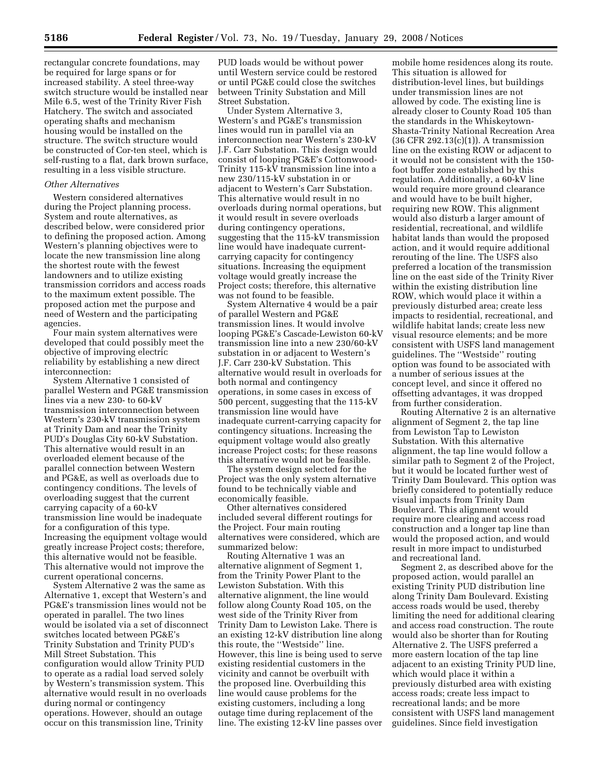rectangular concrete foundations, may be required for large spans or for increased stability. A steel three-way switch structure would be installed near Mile 6.5, west of the Trinity River Fish Hatchery. The switch and associated operating shafts and mechanism housing would be installed on the structure. The switch structure would be constructed of Cor-ten steel, which is self-rusting to a flat, dark brown surface, resulting in a less visible structure.

# *Other Alternatives*

Western considered alternatives during the Project planning process. System and route alternatives, as described below, were considered prior to defining the proposed action. Among Western's planning objectives were to locate the new transmission line along the shortest route with the fewest landowners and to utilize existing transmission corridors and access roads to the maximum extent possible. The proposed action met the purpose and need of Western and the participating agencies.

Four main system alternatives were developed that could possibly meet the objective of improving electric reliability by establishing a new direct interconnection:

System Alternative 1 consisted of parallel Western and PG&E transmission lines via a new 230- to 60-kV transmission interconnection between Western's 230-kV transmission system at Trinity Dam and near the Trinity PUD's Douglas City 60-kV Substation. This alternative would result in an overloaded element because of the parallel connection between Western and PG&E, as well as overloads due to contingency conditions. The levels of overloading suggest that the current carrying capacity of a 60-kV transmission line would be inadequate for a configuration of this type. Increasing the equipment voltage would greatly increase Project costs; therefore, this alternative would not be feasible. This alternative would not improve the current operational concerns.

System Alternative 2 was the same as Alternative 1, except that Western's and PG&E's transmission lines would not be operated in parallel. The two lines would be isolated via a set of disconnect switches located between PG&E's Trinity Substation and Trinity PUD's Mill Street Substation. This configuration would allow Trinity PUD to operate as a radial load served solely by Western's transmission system. This alternative would result in no overloads during normal or contingency operations. However, should an outage occur on this transmission line, Trinity

PUD loads would be without power until Western service could be restored or until PG&E could close the switches between Trinity Substation and Mill Street Substation.

Under System Alternative 3, Western's and PG&E's transmission lines would run in parallel via an interconnection near Western's 230-kV J.F. Carr Substation. This design would consist of looping PG&E's Cottonwood-Trinity 115-kV transmission line into a new 230/115-kV substation in or adjacent to Western's Carr Substation. This alternative would result in no overloads during normal operations, but it would result in severe overloads during contingency operations, suggesting that the 115-kV transmission line would have inadequate currentcarrying capacity for contingency situations. Increasing the equipment voltage would greatly increase the Project costs; therefore, this alternative was not found to be feasible.

System Alternative 4 would be a pair of parallel Western and PG&E transmission lines. It would involve looping PG&E's Cascade-Lewiston 60-kV transmission line into a new 230/60-kV substation in or adjacent to Western's J.F. Carr 230-kV Substation. This alternative would result in overloads for both normal and contingency operations, in some cases in excess of 500 percent, suggesting that the 115-kV transmission line would have inadequate current-carrying capacity for contingency situations. Increasing the equipment voltage would also greatly increase Project costs; for these reasons this alternative would not be feasible.

The system design selected for the Project was the only system alternative found to be technically viable and economically feasible.

Other alternatives considered included several different routings for the Project. Four main routing alternatives were considered, which are summarized below:

Routing Alternative 1 was an alternative alignment of Segment 1, from the Trinity Power Plant to the Lewiston Substation. With this alternative alignment, the line would follow along County Road 105, on the west side of the Trinity River from Trinity Dam to Lewiston Lake. There is an existing 12-kV distribution line along this route, the ''Westside'' line. However, this line is being used to serve existing residential customers in the vicinity and cannot be overbuilt with the proposed line. Overbuilding this line would cause problems for the existing customers, including a long outage time during replacement of the line. The existing 12-kV line passes over

mobile home residences along its route. This situation is allowed for distribution-level lines, but buildings under transmission lines are not allowed by code. The existing line is already closer to County Road 105 than the standards in the Whiskeytown-Shasta-Trinity National Recreation Area (36 CFR 292.13(c)(1)). A transmission line on the existing ROW or adjacent to it would not be consistent with the 150 foot buffer zone established by this regulation. Additionally, a 60-kV line would require more ground clearance and would have to be built higher, requiring new ROW. This alignment would also disturb a larger amount of residential, recreational, and wildlife habitat lands than would the proposed action, and it would require additional rerouting of the line. The USFS also preferred a location of the transmission line on the east side of the Trinity River within the existing distribution line ROW, which would place it within a previously disturbed area; create less impacts to residential, recreational, and wildlife habitat lands; create less new visual resource elements; and be more consistent with USFS land management guidelines. The ''Westside'' routing option was found to be associated with a number of serious issues at the concept level, and since it offered no offsetting advantages, it was dropped from further consideration.

Routing Alternative 2 is an alternative alignment of Segment 2, the tap line from Lewiston Tap to Lewiston Substation. With this alternative alignment, the tap line would follow a similar path to Segment 2 of the Project, but it would be located further west of Trinity Dam Boulevard. This option was briefly considered to potentially reduce visual impacts from Trinity Dam Boulevard. This alignment would require more clearing and access road construction and a longer tap line than would the proposed action, and would result in more impact to undisturbed and recreational land.

Segment 2, as described above for the proposed action, would parallel an existing Trinity PUD distribution line along Trinity Dam Boulevard. Existing access roads would be used, thereby limiting the need for additional clearing and access road construction. The route would also be shorter than for Routing Alternative 2. The USFS preferred a more eastern location of the tap line adjacent to an existing Trinity PUD line, which would place it within a previously disturbed area with existing access roads; create less impact to recreational lands; and be more consistent with USFS land management guidelines. Since field investigation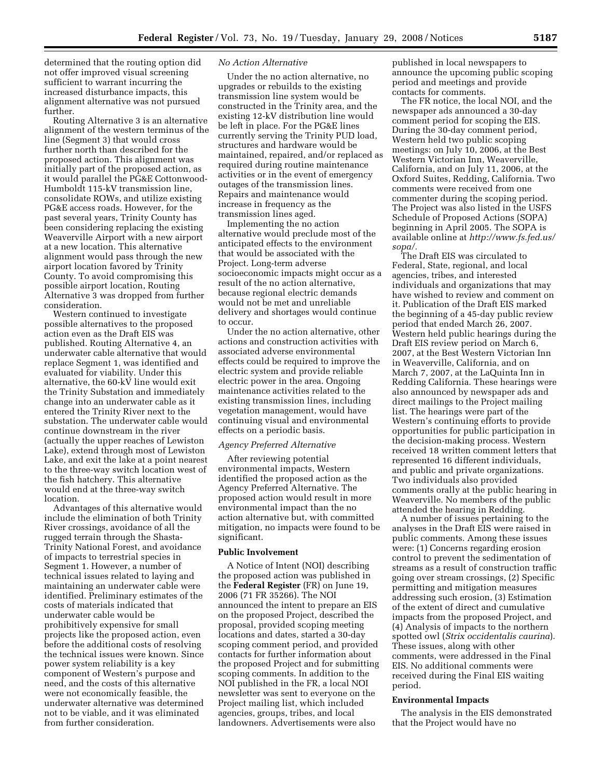determined that the routing option did not offer improved visual screening sufficient to warrant incurring the increased disturbance impacts, this alignment alternative was not pursued further.

Routing Alternative 3 is an alternative alignment of the western terminus of the line (Segment 3) that would cross further north than described for the proposed action. This alignment was initially part of the proposed action, as it would parallel the PG&E Cottonwood-Humboldt 115-kV transmission line, consolidate ROWs, and utilize existing PG&E access roads. However, for the past several years, Trinity County has been considering replacing the existing Weaverville Airport with a new airport at a new location. This alternative alignment would pass through the new airport location favored by Trinity County. To avoid compromising this possible airport location, Routing Alternative 3 was dropped from further consideration.

Western continued to investigate possible alternatives to the proposed action even as the Draft EIS was published. Routing Alternative 4, an underwater cable alternative that would replace Segment 1, was identified and evaluated for viability. Under this alternative, the 60-kV line would exit the Trinity Substation and immediately change into an underwater cable as it entered the Trinity River next to the substation. The underwater cable would continue downstream in the river (actually the upper reaches of Lewiston Lake), extend through most of Lewiston Lake, and exit the lake at a point nearest to the three-way switch location west of the fish hatchery. This alternative would end at the three-way switch location.

Advantages of this alternative would include the elimination of both Trinity River crossings, avoidance of all the rugged terrain through the Shasta-Trinity National Forest, and avoidance of impacts to terrestrial species in Segment 1. However, a number of technical issues related to laying and maintaining an underwater cable were identified. Preliminary estimates of the costs of materials indicated that underwater cable would be prohibitively expensive for small projects like the proposed action, even before the additional costs of resolving the technical issues were known. Since power system reliability is a key component of Western's purpose and need, and the costs of this alternative were not economically feasible, the underwater alternative was determined not to be viable, and it was eliminated from further consideration.

## *No Action Alternative*

Under the no action alternative, no upgrades or rebuilds to the existing transmission line system would be constructed in the Trinity area, and the existing 12-kV distribution line would be left in place. For the PG&E lines currently serving the Trinity PUD load, structures and hardware would be maintained, repaired, and/or replaced as required during routine maintenance activities or in the event of emergency outages of the transmission lines. Repairs and maintenance would increase in frequency as the transmission lines aged.

Implementing the no action alternative would preclude most of the anticipated effects to the environment that would be associated with the Project. Long-term adverse socioeconomic impacts might occur as a result of the no action alternative, because regional electric demands would not be met and unreliable delivery and shortages would continue to occur.

Under the no action alternative, other actions and construction activities with associated adverse environmental effects could be required to improve the electric system and provide reliable electric power in the area. Ongoing maintenance activities related to the existing transmission lines, including vegetation management, would have continuing visual and environmental effects on a periodic basis.

#### *Agency Preferred Alternative*

After reviewing potential environmental impacts, Western identified the proposed action as the Agency Preferred Alternative. The proposed action would result in more environmental impact than the no action alternative but, with committed mitigation, no impacts were found to be significant.

## **Public Involvement**

A Notice of Intent (NOI) describing the proposed action was published in the **Federal Register** (FR) on June 19, 2006 (71 FR 35266). The NOI announced the intent to prepare an EIS on the proposed Project, described the proposal, provided scoping meeting locations and dates, started a 30-day scoping comment period, and provided contacts for further information about the proposed Project and for submitting scoping comments. In addition to the NOI published in the FR, a local NOI newsletter was sent to everyone on the Project mailing list, which included agencies, groups, tribes, and local landowners. Advertisements were also

published in local newspapers to announce the upcoming public scoping period and meetings and provide contacts for comments.

The FR notice, the local NOI, and the newspaper ads announced a 30-day comment period for scoping the EIS. During the 30-day comment period, Western held two public scoping meetings: on July 10, 2006, at the Best Western Victorian Inn, Weaverville, California, and on July 11, 2006, at the Oxford Suites, Redding, California. Two comments were received from one commenter during the scoping period. The Project was also listed in the USFS Schedule of Proposed Actions (SOPA) beginning in April 2005. The SOPA is available online at *http://www.fs.fed.us/ sopa/.* 

The Draft EIS was circulated to Federal, State, regional, and local agencies, tribes, and interested individuals and organizations that may have wished to review and comment on it. Publication of the Draft EIS marked the beginning of a 45-day public review period that ended March 26, 2007. Western held public hearings during the Draft EIS review period on March 6, 2007, at the Best Western Victorian Inn in Weaverville, California, and on March 7, 2007, at the LaQuinta Inn in Redding California. These hearings were also announced by newspaper ads and direct mailings to the Project mailing list. The hearings were part of the Western's continuing efforts to provide opportunities for public participation in the decision-making process. Western received 18 written comment letters that represented 16 different individuals, and public and private organizations. Two individuals also provided comments orally at the public hearing in Weaverville. No members of the public attended the hearing in Redding.

A number of issues pertaining to the analyses in the Draft EIS were raised in public comments. Among these issues were: (1) Concerns regarding erosion control to prevent the sedimentation of streams as a result of construction traffic going over stream crossings, (2) Specific permitting and mitigation measures addressing such erosion, (3) Estimation of the extent of direct and cumulative impacts from the proposed Project, and (4) Analysis of impacts to the northern spotted owl (*Strix occidentalis caurina*). These issues, along with other comments, were addressed in the Final EIS. No additional comments were received during the Final EIS waiting period.

# **Environmental Impacts**

The analysis in the EIS demonstrated that the Project would have no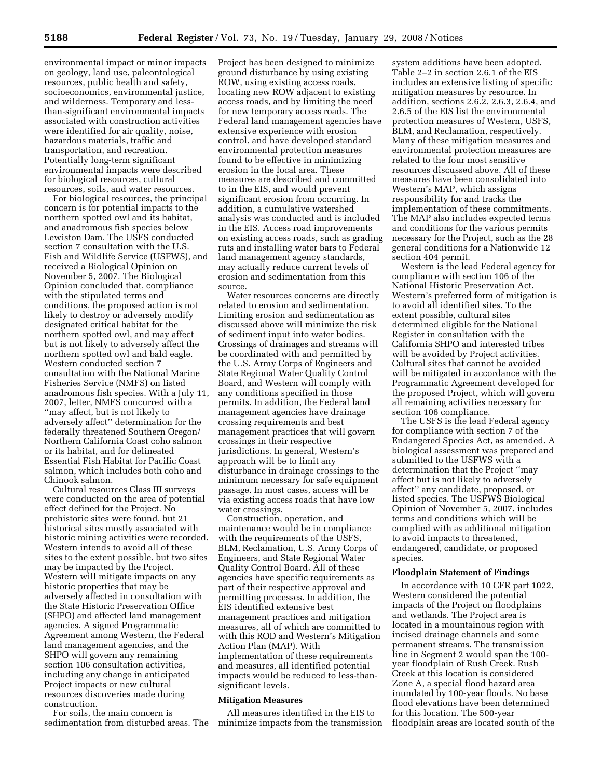environmental impact or minor impacts on geology, land use, paleontological resources, public health and safety, socioeconomics, environmental justice, and wilderness. Temporary and lessthan-significant environmental impacts associated with construction activities were identified for air quality, noise, hazardous materials, traffic and transportation, and recreation. Potentially long-term significant environmental impacts were described for biological resources, cultural resources, soils, and water resources.

For biological resources, the principal concern is for potential impacts to the northern spotted owl and its habitat, and anadromous fish species below Lewiston Dam. The USFS conducted section 7 consultation with the U.S. Fish and Wildlife Service (USFWS), and received a Biological Opinion on November 5, 2007. The Biological Opinion concluded that, compliance with the stipulated terms and conditions, the proposed action is not likely to destroy or adversely modify designated critical habitat for the northern spotted owl, and may affect but is not likely to adversely affect the northern spotted owl and bald eagle. Western conducted section 7 consultation with the National Marine Fisheries Service (NMFS) on listed anadromous fish species. With a July 11, 2007, letter, NMFS concurred with a ''may affect, but is not likely to adversely affect'' determination for the federally threatened Southern Oregon/ Northern California Coast coho salmon or its habitat, and for delineated Essential Fish Habitat for Pacific Coast salmon, which includes both coho and Chinook salmon.

Cultural resources Class III surveys were conducted on the area of potential effect defined for the Project. No prehistoric sites were found, but 21 historical sites mostly associated with historic mining activities were recorded. Western intends to avoid all of these sites to the extent possible, but two sites may be impacted by the Project. Western will mitigate impacts on any historic properties that may be adversely affected in consultation with the State Historic Preservation Office (SHPO) and affected land management agencies. A signed Programmatic Agreement among Western, the Federal land management agencies, and the SHPO will govern any remaining section 106 consultation activities, including any change in anticipated Project impacts or new cultural resources discoveries made during construction.

For soils, the main concern is sedimentation from disturbed areas. The Project has been designed to minimize ground disturbance by using existing ROW, using existing access roads, locating new ROW adjacent to existing access roads, and by limiting the need for new temporary access roads. The Federal land management agencies have extensive experience with erosion control, and have developed standard environmental protection measures found to be effective in minimizing erosion in the local area. These measures are described and committed to in the EIS, and would prevent significant erosion from occurring. In addition, a cumulative watershed analysis was conducted and is included in the EIS. Access road improvements on existing access roads, such as grading ruts and installing water bars to Federal land management agency standards, may actually reduce current levels of erosion and sedimentation from this source.

Water resources concerns are directly related to erosion and sedimentation. Limiting erosion and sedimentation as discussed above will minimize the risk of sediment input into water bodies. Crossings of drainages and streams will be coordinated with and permitted by the U.S. Army Corps of Engineers and State Regional Water Quality Control Board, and Western will comply with any conditions specified in those permits. In addition, the Federal land management agencies have drainage crossing requirements and best management practices that will govern crossings in their respective jurisdictions. In general, Western's approach will be to limit any disturbance in drainage crossings to the minimum necessary for safe equipment passage. In most cases, access will be via existing access roads that have low water crossings.

Construction, operation, and maintenance would be in compliance with the requirements of the USFS, BLM, Reclamation, U.S. Army Corps of Engineers, and State Regional Water Quality Control Board. All of these agencies have specific requirements as part of their respective approval and permitting processes. In addition, the EIS identified extensive best management practices and mitigation measures, all of which are committed to with this ROD and Western's Mitigation Action Plan (MAP). With implementation of these requirements and measures, all identified potential impacts would be reduced to less-thansignificant levels.

# **Mitigation Measures**

All measures identified in the EIS to minimize impacts from the transmission

system additions have been adopted. Table 2–2 in section 2.6.1 of the EIS includes an extensive listing of specific mitigation measures by resource. In addition, sections 2.6.2, 2.6.3, 2.6.4, and 2.6.5 of the EIS list the environmental protection measures of Western, USFS, BLM, and Reclamation, respectively. Many of these mitigation measures and environmental protection measures are related to the four most sensitive resources discussed above. All of these measures have been consolidated into Western's MAP, which assigns responsibility for and tracks the implementation of these commitments. The MAP also includes expected terms and conditions for the various permits necessary for the Project, such as the 28 general conditions for a Nationwide 12 section 404 permit.

Western is the lead Federal agency for compliance with section 106 of the National Historic Preservation Act. Western's preferred form of mitigation is to avoid all identified sites. To the extent possible, cultural sites determined eligible for the National Register in consultation with the California SHPO and interested tribes will be avoided by Project activities. Cultural sites that cannot be avoided will be mitigated in accordance with the Programmatic Agreement developed for the proposed Project, which will govern all remaining activities necessary for section 106 compliance.

The USFS is the lead Federal agency for compliance with section 7 of the Endangered Species Act, as amended. A biological assessment was prepared and submitted to the USFWS with a determination that the Project ''may affect but is not likely to adversely affect'' any candidate, proposed, or listed species. The USFWS Biological Opinion of November 5, 2007, includes terms and conditions which will be complied with as additional mitigation to avoid impacts to threatened, endangered, candidate, or proposed species.

### **Floodplain Statement of Findings**

In accordance with 10 CFR part 1022, Western considered the potential impacts of the Project on floodplains and wetlands. The Project area is located in a mountainous region with incised drainage channels and some permanent streams. The transmission line in Segment 2 would span the 100 year floodplain of Rush Creek. Rush Creek at this location is considered Zone A, a special flood hazard area inundated by 100-year floods. No base flood elevations have been determined for this location. The 500-year floodplain areas are located south of the